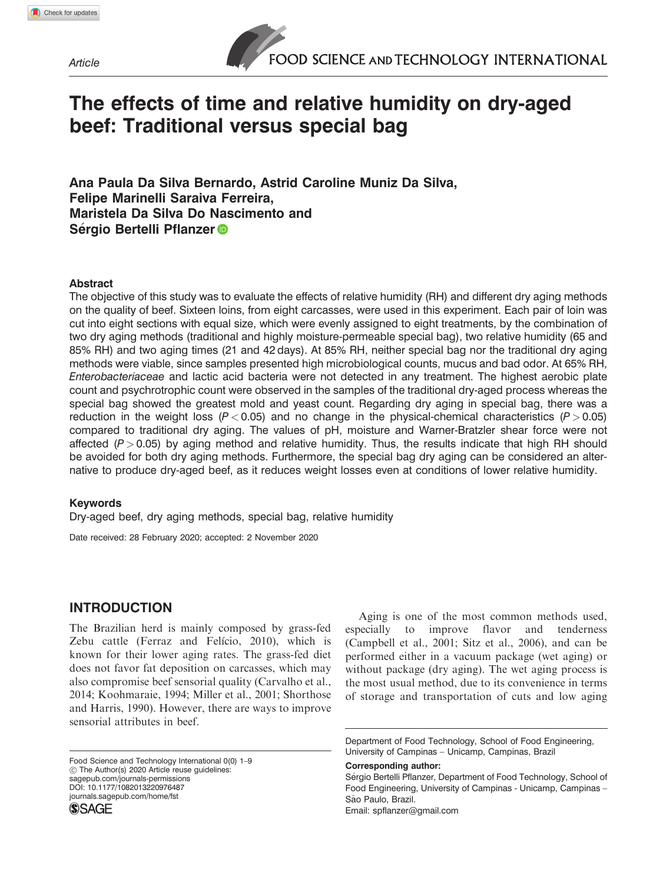**Article** 

# The effects of time and relative humidity on dry-aged beef: Traditional versus special bag

Ana Paula Da Silva Bernardo, Astrid Caroline Muniz Da Silva, Felipe Marinelli Saraiva Ferreira, Maristela Da Silva Do Nascimento and Sérgio Bertelli Pflanzer<sup>®</sup>

## Abstract

The objective of this study was to evaluate the effects of relative humidity (RH) and different dry aging methods on the quality of beef. Sixteen loins, from eight carcasses, were used in this experiment. Each pair of loin was cut into eight sections with equal size, which were evenly assigned to eight treatments, by the combination of two dry aging methods (traditional and highly moisture-permeable special bag), two relative humidity (65 and 85% RH) and two aging times (21 and 42 days). At 85% RH, neither special bag nor the traditional dry aging methods were viable, since samples presented high microbiological counts, mucus and bad odor. At 65% RH, Enterobacteriaceae and lactic acid bacteria were not detected in any treatment. The highest aerobic plate count and psychrotrophic count were observed in the samples of the traditional dry-aged process whereas the special bag showed the greatest mold and yeast count. Regarding dry aging in special bag, there was a reduction in the weight loss ( $P < 0.05$ ) and no change in the physical-chemical characteristics ( $P > 0.05$ ) compared to traditional dry aging. The values of pH, moisture and Warner-Bratzler shear force were not affected  $(P > 0.05)$  by aging method and relative humidity. Thus, the results indicate that high RH should be avoided for both dry aging methods. Furthermore, the special bag dry aging can be considered an alternative to produce dry-aged beef, as it reduces weight losses even at conditions of lower relative humidity.

#### Keywords

Dry-aged beef, dry aging methods, special bag, relative humidity

Date received: 28 February 2020; accepted: 2 November 2020

# INTRODUCTION

The Brazilian herd is mainly composed by grass-fed Zebu cattle (Ferraz and Felício, 2010), which is known for their lower aging rates. The grass-fed diet does not favor fat deposition on carcasses, which may also compromise beef sensorial quality (Carvalho et al., 2014; Koohmaraie, 1994; Miller et al., 2001; Shorthose and Harris, 1990). However, there are ways to improve sensorial attributes in beef.

Food Science and Technology International 0(0) 1–9 ! The Author(s) 2020 Article reuse guidelines: [sagepub.com/journals-permissions](http://uk.sagepub.com/en-gb/journals-permissions) DOI: 10.1177/1082013220976487 journals.sagepub.com/home/fst**SSAGE** 

Aging is one of the most common methods used, especially to improve flavor and tenderness (Campbell et al., 2001; Sitz et al., 2006), and can be performed either in a vacuum package (wet aging) or without package (dry aging). The wet aging process is the most usual method, due to its convenience in terms of storage and transportation of cuts and low aging

#### Corresponding author:

Department of Food Technology, School of Food Engineering, University of Campinas – Unicamp, Campinas, Brazil

Sergio Bertelli Pflanzer, Department of Food Technology, School of Food Engineering, University of Campinas - Unicamp, Campinas – São Paulo, Brazil. Email: [spflanzer@gmail.com](mailto:spflanzer@gmail.com)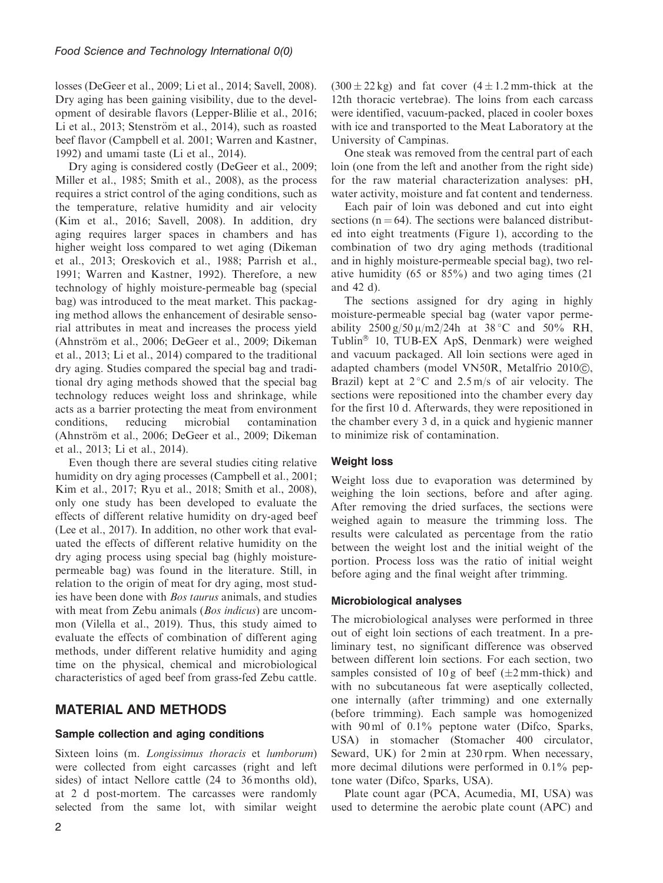losses (DeGeer et al., 2009; Li et al., 2014; Savell, 2008). Dry aging has been gaining visibility, due to the development of desirable flavors (Lepper-Blilie et al., 2016; Li et al.,  $2013$ ; Stenström et al.,  $2014$ ), such as roasted beef flavor (Campbell et al. 2001; Warren and Kastner, 1992) and umami taste (Li et al., 2014).

Dry aging is considered costly (DeGeer et al., 2009; Miller et al., 1985; Smith et al., 2008), as the process requires a strict control of the aging conditions, such as the temperature, relative humidity and air velocity (Kim et al., 2016; Savell, 2008). In addition, dry aging requires larger spaces in chambers and has higher weight loss compared to wet aging (Dikeman et al., 2013; Oreskovich et al., 1988; Parrish et al., 1991; Warren and Kastner, 1992). Therefore, a new technology of highly moisture-permeable bag (special bag) was introduced to the meat market. This packaging method allows the enhancement of desirable sensorial attributes in meat and increases the process yield (Ahnström et al., 2006; DeGeer et al., 2009; Dikeman et al., 2013; Li et al., 2014) compared to the traditional dry aging. Studies compared the special bag and traditional dry aging methods showed that the special bag technology reduces weight loss and shrinkage, while acts as a barrier protecting the meat from environment conditions, reducing microbial contamination (Ahnström et al., 2006; DeGeer et al., 2009; Dikeman et al., 2013; Li et al., 2014).

Even though there are several studies citing relative humidity on dry aging processes (Campbell et al., 2001; Kim et al., 2017; Ryu et al., 2018; Smith et al., 2008), only one study has been developed to evaluate the effects of different relative humidity on dry-aged beef (Lee et al., 2017). In addition, no other work that evaluated the effects of different relative humidity on the dry aging process using special bag (highly moisturepermeable bag) was found in the literature. Still, in relation to the origin of meat for dry aging, most studies have been done with Bos taurus animals, and studies with meat from Zebu animals (*Bos indicus*) are uncommon (Vilella et al., 2019). Thus, this study aimed to evaluate the effects of combination of different aging methods, under different relative humidity and aging time on the physical, chemical and microbiological characteristics of aged beef from grass-fed Zebu cattle.

# MATERIAL AND METHODS

# Sample collection and aging conditions

Sixteen loins (m. Longissimus thoracis et lumborum) were collected from eight carcasses (right and left sides) of intact Nellore cattle (24 to 36 months old), at 2 d post-mortem. The carcasses were randomly selected from the same lot, with similar weight  $(300 \pm 22 \text{ kg})$  and fat cover  $(4 \pm 1.2 \text{ mm-thick}$  at the 12th thoracic vertebrae). The loins from each carcass were identified, vacuum-packed, placed in cooler boxes with ice and transported to the Meat Laboratory at the University of Campinas.

One steak was removed from the central part of each loin (one from the left and another from the right side) for the raw material characterization analyses: pH, water activity, moisture and fat content and tenderness.

Each pair of loin was deboned and cut into eight sections ( $n = 64$ ). The sections were balanced distributed into eight treatments (Figure 1), according to the combination of two dry aging methods (traditional and in highly moisture-permeable special bag), two relative humidity (65 or 85%) and two aging times (21 and 42 d).

The sections assigned for dry aging in highly moisture-permeable special bag (water vapor permeability  $2500 g/50 \mu/m^2/24h$  at  $38 °C$  and  $50\%$  RH, Tublin<sup>®</sup> 10, TUB-EX ApS, Denmark) were weighed and vacuum packaged. All loin sections were aged in adapted chambers (model VN50R, Metalfrio 2010 $\copyright$ ), Brazil) kept at  $2^{\circ}$ C and  $2.5$  m/s of air velocity. The sections were repositioned into the chamber every day for the first 10 d. Afterwards, they were repositioned in the chamber every 3 d, in a quick and hygienic manner to minimize risk of contamination.

#### Weight loss

Weight loss due to evaporation was determined by weighing the loin sections, before and after aging. After removing the dried surfaces, the sections were weighed again to measure the trimming loss. The results were calculated as percentage from the ratio between the weight lost and the initial weight of the portion. Process loss was the ratio of initial weight before aging and the final weight after trimming.

#### Microbiological analyses

The microbiological analyses were performed in three out of eight loin sections of each treatment. In a preliminary test, no significant difference was observed between different loin sections. For each section, two samples consisted of 10 g of beef  $(\pm 2 \text{ mm-thick})$  and with no subcutaneous fat were aseptically collected, one internally (after trimming) and one externally (before trimming). Each sample was homogenized with 90 ml of 0.1% peptone water (Difco, Sparks, USA) in stomacher (Stomacher 400 circulator, Seward, UK) for 2 min at 230 rpm. When necessary, more decimal dilutions were performed in 0.1% peptone water (Difco, Sparks, USA).

Plate count agar (PCA, Acumedia, MI, USA) was used to determine the aerobic plate count (APC) and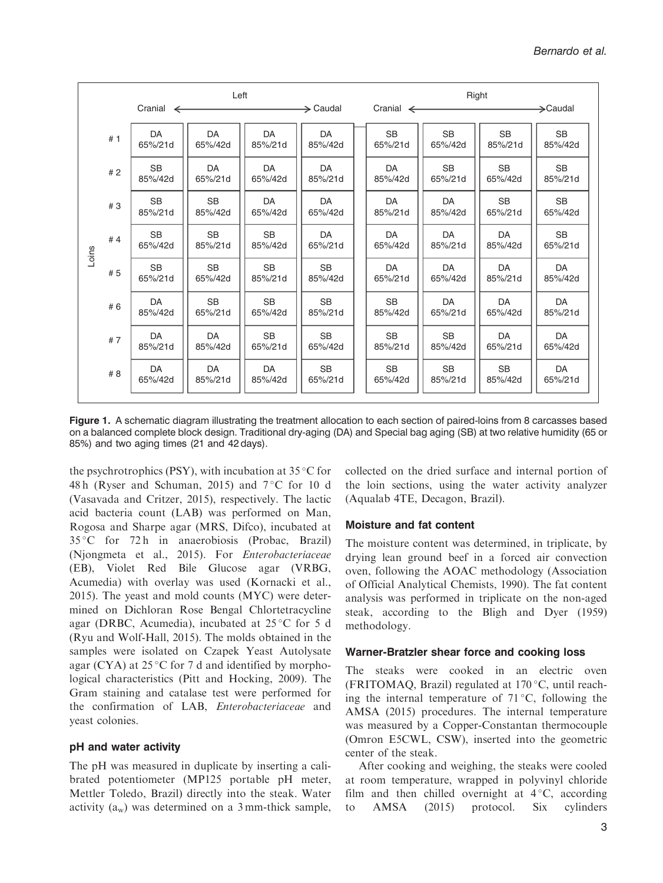| Left<br>$\rightarrow$ Caudal<br>Cranial<br>$\leftarrow$ |                      |                      |                      |                      | Right                |                      |                      |                      |  |  |
|---------------------------------------------------------|----------------------|----------------------|----------------------|----------------------|----------------------|----------------------|----------------------|----------------------|--|--|
|                                                         |                      |                      |                      |                      | Cranial $\leftarrow$ |                      |                      | $\rightarrow$ Caudal |  |  |
| #1                                                      | DA<br>65%/21d        | DA<br>65%/42d        | DA<br>85%/21d        | DA<br>85%/42d        | <b>SB</b><br>65%/21d | <b>SB</b><br>65%/42d | <b>SB</b><br>85%/21d | <b>SB</b><br>85%/42d |  |  |
| #2                                                      | <b>SB</b><br>85%/42d | DA<br>65%/21d        | DA<br>65%/42d        | DA<br>85%/21d        | DA<br>85%/42d        | <b>SB</b><br>65%/21d | <b>SB</b><br>65%/42d | <b>SB</b><br>85%/21d |  |  |
| #3                                                      | <b>SB</b><br>85%/21d | <b>SB</b><br>85%/42d | DA<br>65%/42d        | DA<br>65%/42d        | DA<br>85%/21d        | DA<br>85%/42d        | <b>SB</b><br>65%/21d | <b>SB</b><br>65%/42d |  |  |
| #4                                                      | <b>SB</b><br>65%/42d | <b>SB</b><br>85%/21d | <b>SB</b><br>85%/42d | DA<br>65%/21d        | DA<br>65%/42d        | DA<br>85%/21d        | DA<br>85%/42d        | <b>SB</b><br>65%/21d |  |  |
| #5                                                      | <b>SB</b><br>65%/21d | <b>SB</b><br>65%/42d | <b>SB</b><br>85%/21d | <b>SB</b><br>85%/42d | DA<br>65%/21d        | DA<br>65%/42d        | DA<br>85%/21d        | DA<br>85%/42d        |  |  |
| #6                                                      | DA<br>85%/42d        | <b>SB</b><br>65%/21d | <b>SB</b><br>65%/42d | <b>SB</b><br>85%/21d | <b>SB</b><br>85%/42d | DA<br>65%/21d        | DA<br>65%/42d        | DA<br>85%/21d        |  |  |
| #7                                                      | DA<br>85%/21d        | DA<br>85%/42d        | <b>SB</b><br>65%/21d | <b>SB</b><br>65%/42d | <b>SB</b><br>85%/21d | <b>SB</b><br>85%/42d | <b>DA</b><br>65%/21d | DA<br>65%/42d        |  |  |
| #8                                                      | DA<br>65%/42d        | DA<br>85%/21d        | DA<br>85%/42d        | <b>SB</b><br>65%/21d | <b>SB</b><br>65%/42d | <b>SB</b><br>85%/21d | <b>SB</b><br>85%/42d | DA<br>65%/21d        |  |  |
|                                                         |                      |                      |                      |                      |                      |                      |                      |                      |  |  |

Figure 1. A schematic diagram illustrating the treatment allocation to each section of paired-loins from 8 carcasses based on a balanced complete block design. Traditional dry-aging (DA) and Special bag aging (SB) at two relative humidity (65 or 85%) and two aging times (21 and 42 days).

the psychrotrophics (PSY), with incubation at  $35^{\circ}$ C for 48 h (Ryser and Schuman, 2015) and  $7^{\circ}$ C for 10 d (Vasavada and Critzer, 2015), respectively. The lactic acid bacteria count (LAB) was performed on Man, Rogosa and Sharpe agar (MRS, Difco), incubated at 35 C for 72 h in anaerobiosis (Probac, Brazil) (Njongmeta et al., 2015). For Enterobacteriaceae (EB), Violet Red Bile Glucose agar (VRBG, Acumedia) with overlay was used (Kornacki et al., 2015). The yeast and mold counts (MYC) were determined on Dichloran Rose Bengal Chlortetracycline agar (DRBC, Acumedia), incubated at  $25^{\circ}$ C for 5 d (Ryu and Wolf-Hall, 2015). The molds obtained in the samples were isolated on Czapek Yeast Autolysate agar (CYA) at  $25^{\circ}$ C for 7 d and identified by morphological characteristics (Pitt and Hocking, 2009). The Gram staining and catalase test were performed for the confirmation of LAB, Enterobacteriaceae and yeast colonies.

# pH and water activity

The pH was measured in duplicate by inserting a calibrated potentiometer (MP125 portable pH meter, Mettler Toledo, Brazil) directly into the steak. Water activity  $(a_w)$  was determined on a 3 mm-thick sample, collected on the dried surface and internal portion of the loin sections, using the water activity analyzer (Aqualab 4TE, Decagon, Brazil).

# Moisture and fat content

The moisture content was determined, in triplicate, by drying lean ground beef in a forced air convection oven, following the AOAC methodology (Association of Official Analytical Chemists, 1990). The fat content analysis was performed in triplicate on the non-aged steak, according to the Bligh and Dyer (1959) methodology.

# Warner-Bratzler shear force and cooking loss

The steaks were cooked in an electric oven (FRITOMAQ, Brazil) regulated at  $170^{\circ}$ C, until reaching the internal temperature of  $71^{\circ}$ C, following the AMSA (2015) procedures. The internal temperature was measured by a Copper-Constantan thermocouple (Omron E5CWL, CSW), inserted into the geometric center of the steak.

After cooking and weighing, the steaks were cooled at room temperature, wrapped in polyvinyl chloride film and then chilled overnight at  $4^{\circ}$ C, according to AMSA (2015) protocol. Six cylinders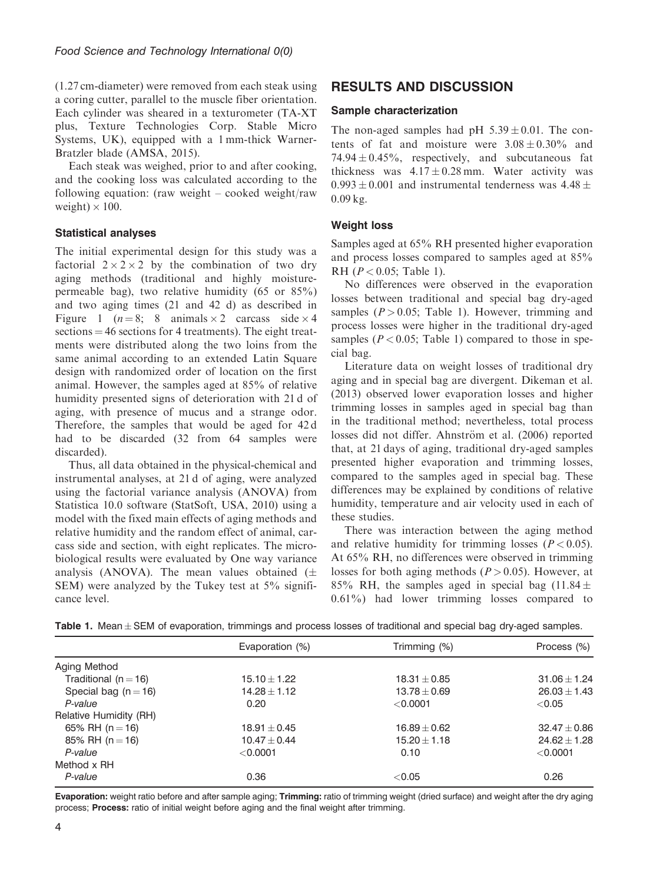(1.27 cm-diameter) were removed from each steak using a coring cutter, parallel to the muscle fiber orientation. Each cylinder was sheared in a texturometer (TA-XT plus, Texture Technologies Corp. Stable Micro Systems, UK), equipped with a 1 mm-thick Warner-Bratzler blade (AMSA, 2015).

Each steak was weighed, prior to and after cooking, and the cooking loss was calculated according to the following equation: (raw weight – cooked weight/raw weight)  $\times$  100.

# Statistical analyses

The initial experimental design for this study was a factorial  $2 \times 2 \times 2$  by the combination of two dry aging methods (traditional and highly moisturepermeable bag), two relative humidity (65 or 85%) and two aging times (21 and 42 d) as described in Figure 1 ( $n = 8$ ; 8 animals  $\times$  2 carcass side  $\times$  4  $sections = 46 sections for 4 treatments. The eight treat$ ments were distributed along the two loins from the same animal according to an extended Latin Square design with randomized order of location on the first animal. However, the samples aged at 85% of relative humidity presented signs of deterioration with 21 d of aging, with presence of mucus and a strange odor. Therefore, the samples that would be aged for 42 d had to be discarded (32 from 64 samples were discarded).

Thus, all data obtained in the physical-chemical and instrumental analyses, at 21 d of aging, were analyzed using the factorial variance analysis (ANOVA) from Statistica 10.0 software (StatSoft, USA, 2010) using a model with the fixed main effects of aging methods and relative humidity and the random effect of animal, carcass side and section, with eight replicates. The microbiological results were evaluated by One way variance analysis (ANOVA). The mean values obtained  $(\pm$ SEM) were analyzed by the Tukey test at 5% significance level.

# RESULTS AND DISCUSSION

## Sample characterization

The non-aged samples had pH  $5.39 \pm 0.01$ . The contents of fat and moisture were  $3.08 \pm 0.30\%$  and  $74.94 \pm 0.45\%$ , respectively, and subcutaneous fat thickness was  $4.17 \pm 0.28$  mm. Water activity was  $0.993 + 0.001$  and instrumental tenderness was  $4.48 +$ 0.09 kg.

# Weight loss

Samples aged at 65% RH presented higher evaporation and process losses compared to samples aged at 85% RH ( $P < 0.05$ ; Table 1).

No differences were observed in the evaporation losses between traditional and special bag dry-aged samples  $(P > 0.05$ ; Table 1). However, trimming and process losses were higher in the traditional dry-aged samples ( $P < 0.05$ ; Table 1) compared to those in special bag.

Literature data on weight losses of traditional dry aging and in special bag are divergent. Dikeman et al. (2013) observed lower evaporation losses and higher trimming losses in samples aged in special bag than in the traditional method; nevertheless, total process losses did not differ. Ahnström et al. (2006) reported that, at 21 days of aging, traditional dry-aged samples presented higher evaporation and trimming losses, compared to the samples aged in special bag. These differences may be explained by conditions of relative humidity, temperature and air velocity used in each of these studies.

There was interaction between the aging method and relative humidity for trimming losses ( $P < 0.05$ ). At 65% RH, no differences were observed in trimming losses for both aging methods ( $P > 0.05$ ). However, at 85% RH, the samples aged in special bag  $(11.84 \pm$ 0.61%) had lower trimming losses compared to

|  |  | Table 1. Mean $\pm$ SEM of evaporation, trimmings and process losses of traditional and special bag dry-aged samples. |  |  |  |  |  |  |  |  |  |  |
|--|--|-----------------------------------------------------------------------------------------------------------------------|--|--|--|--|--|--|--|--|--|--|
|--|--|-----------------------------------------------------------------------------------------------------------------------|--|--|--|--|--|--|--|--|--|--|

|                          | Evaporation (%)  | Trimming (%)     | Process (%)      |
|--------------------------|------------------|------------------|------------------|
| Aging Method             |                  |                  |                  |
| Traditional ( $n = 16$ ) | $15.10 + 1.22$   | $18.31 \pm 0.85$ | $31.06 + 1.24$   |
| Special bag ( $n = 16$ ) | $14.28 + 1.12$   | $13.78 \pm 0.69$ | $26.03 + 1.43$   |
| P-value                  | 0.20             | < 0.0001         | < 0.05           |
| Relative Humidity (RH)   |                  |                  |                  |
| 65% RH ( $n = 16$ )      | $18.91 \pm 0.45$ | $16.89 \pm 0.62$ | $32.47 \pm 0.86$ |
| 85% RH ( $n = 16$ )      | $10.47 \pm 0.44$ | $15.20 \pm 1.18$ | $24.62 \pm 1.28$ |
| P-value                  | < 0.0001         | 0.10             | < 0.0001         |
| Method x RH              |                  |                  |                  |
| P-value                  | 0.36             | < 0.05           | 0.26             |

Evaporation: weight ratio before and after sample aging; Trimming: ratio of trimming weight (dried surface) and weight after the dry aging process; Process: ratio of initial weight before aging and the final weight after trimming.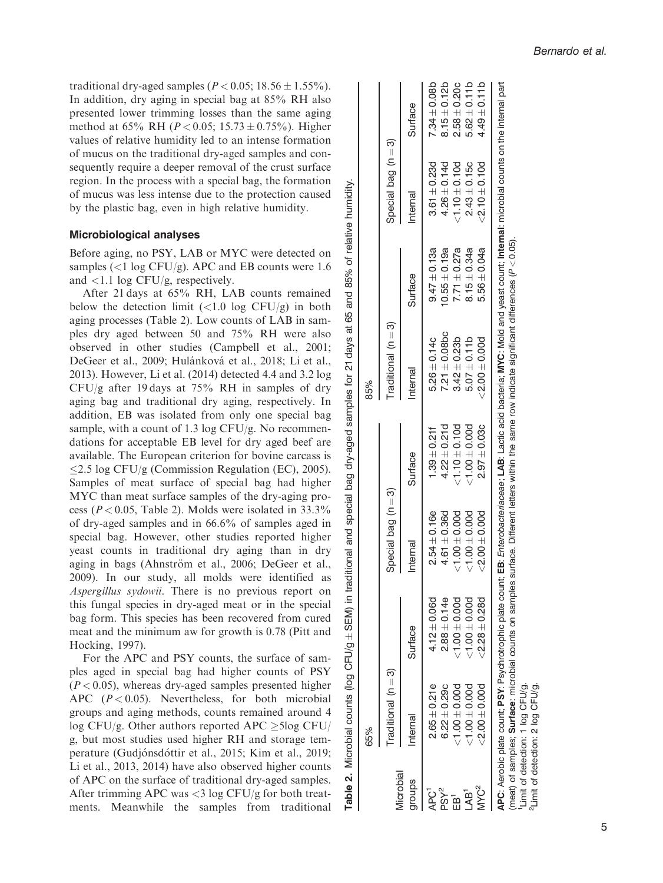traditional dry-aged samples ( $P < 0.05$ ; 18.56  $\pm$  1.55%). In addition, dry aging in special bag at 85% RH also presented lower trimming losses than the same aging method at 65% RH ( $P < 0.05$ ; 15.73 ± 0.75%). Higher values of relative humidity led to an intense formation of mucus on the traditional dry-aged samples and consequently require a deeper removal of the crust surface region. In the process with a special bag, the formation of mucus was less intense due to the protection caused by the plastic bag, even in high relative humidity.

#### Microbiological analyses

Before aging, no PSY, LAB or MYC were detected on samples  $\left($  < 1 log CFU/g). APC and EB counts were 1.6 and <1.1 log CFU/g, respectively.

After 21 days at 65% RH, LAB counts remained below the detection limit  $\left(\langle 1.0 \text{ log CFU/g} \right)$  in both aging processes (Table 2). Low counts of LAB in samples dry aged between 50 and 75% RH were also observed in other studies (Campbell et al., 2001; DeGeer et al., 2009; Hulánková et al., 2018; Li et al., 2013). However, Li et al. (2014) detected 4.4 and 3.2 log CFU/g after 19 days at 75% RH in samples of dry aging bag and traditional dry aging, respectively. In addition, EB was isolated from only one special bag sample, with a count of 1.3 log CFU/g. No recommendations for acceptable EB level for dry aged beef are available. The European criterion for bovine carcass is  $\leq$ 2.5 log CFU/g (Commission Regulation (EC), 2005). Samples of meat surface of special bag had higher MYC than meat surface samples of the dry-aging process ( $P < 0.05$ , Table 2). Molds were isolated in 33.3% of dry-aged samples and in 66.6% of samples aged in special bag. However, other studies reported higher yeast counts in traditional dry aging than in dry aging in bags (Ahnström et al., 2006; DeGeer et al., 2009). In our study, all molds were identified as Aspergillus sydowii. There is no previous report on this fungal species in dry-aged meat or in the special bag form. This species has been recovered from cured meat and the minimum aw for growth is 0.78 (Pitt and Hocking, 1997).

For the APC and PSY counts, the surface of samples aged in special bag had higher counts of PSY  $(P<0.05)$ , whereas dry-aged samples presented higher APC  $(P < 0.05)$ . Nevertheless, for both microbial groups and aging methods, counts remained around 4 log CFU/g. Other authors reported APC  $\geq$ 5log CFU/ g, but most studies used higher RH and storage temperature (Gudjónsdóttir et al., 2015; Kim et al., 2019; Li et al., 2013, 2014) have also observed higher counts of APC on the surface of traditional dry-aged samples. After trimming APC was <3 log CFU/g for both treatments. Meanwhile the samples from traditional

APC: Aerobic plate count; PSY: Psychrotrophic plate count; EB: Enterobacteriaceae; LAB: Lactic acid bacteria; MYC: Mold and yeast count; Internal: microbial counts on the internal part  $\pm 0.08$ b  $\pm 0.12b$  $\pm 0.20c$  $\pm 0.11$ b  $\pm 0.11$ b APC: Aerobic plate count; PSY: Psychrotrophic plate count; EB: Enterobacteriacoeae; LAB: Lactic acid bacteria; MYC: Mold and veast count; Internal: microbial counts on the internal part Surface Internal Surface Internal Surface Internal Surface Internal Surface  $\pm 0.23$ d 7.34  $\pm 0.14$ d 8.15  $\pm 0.10$ d 2.58  $+0.100$  4.49  $\pm 0.15c$  5.62 ကြ $\frac{1}{2}$  3) Special bag (n  $3.61 + 0.23d$  $4.26 \pm 0.14$ d  $2.43 \pm 0.15c$  $^+$  $^+$ nternal  $\pm 0.19$ a 4.26 <1.10  $\pm 0.34$ a 2.43  $\frac{0}{2}$  $\pm 0.13$ a 3.61  $(P < 0.05)$ .  $9.47 \pm 0.13a$  $10.55 \pm 0.19a$  $8.15 \pm 0.34a$  $\pm 0.27$ a  $\pm 0.0$ 4a Surface (meat) of samples; Surface: microbial counts on samples surface. Different letters within the same row indicate significant differences (  $+0.14c$  9.47  $\pm 0.08$ bc 10.55  $\pm 0.11$ b 8.15  $\pm 0.00$ d 5.56  $\pm 0.23$ b 7.71  $(n=3)$  $7.21 \pm 0.08$ bc  $5.26 \pm 0.14c$  3) Traditional (n Traditional  $+$   $+$  $^+$ nternal  $\pm 0.21$ f 5.26  $\pm 0.10$ d 3.42  $+0.00d$  5.07  $<sub>2.00</sub>$ </sub>  $\pm 0.21$ d 7.21 85% 65% 85%  $4.22 \pm 0.21d$  $.39 + 0.211$  $\pm 0.03c$  $^+$  $^+$ Surface  $\pm 0.16$ e 1.39  $\pm 0.36$ d 4.22 <1.10 <1.00  $\pm 0.00$ d 2.97  $\widehat{\infty}$  $\equiv$  3) Special bag (n  $61 + 0.36d$  $54 + 0.16e$  $\pm 0.00$ d  $\pm 0.00$ d Special bag Internal  $^+$  $\pm 0.06$ d 2.54 <1.00 <1.00  $<sub>2.00</sub>$ </sub>  $\pm 0.14e$  4.61  $\ddot{\Omega}$  $\tilde{+}$  $2.88 \pm 0.14e$  $4.12 \pm 0.06d$  $\pm 0.00$ d  $\pm 0.00$ d  $\pm 0.28$ d Surface  $\pm$  0.21e 4.12  $\pm 0.29c$  2.88 <1.00 <1.00  $< 2.28$ ၐ  $\overline{\mathbf{u}}$  $2.65 \pm 0.21e$  $6.22 \pm 0.29c$  $\pm 0.00$ d  $\pm 0.00$ d  $\pm 0.00$ d  $\epsilon$ Traditional (n Traditional Internal APC1 2.65  $PSY<sup>2</sup>$  6.22 EB1 <1.00  $\mathsf{LAB}^\mathsf{1}$   $\leq 1.00$ MYC<sup>2</sup>  $<$  2.00 65% Microbial Microbial groups  $MNC<sup>2</sup>$ APC<sup>1</sup> PSY<sup>2</sup> IAB'  $EB<sup>1</sup>$ 

Table 2. Microbial counts (log CFU/g

Microbial

 $\mathbf{a}$ Table:

counts

 $CFU/g \pm$ 

 $100$ 

SEM) in traditional and special bag dry-aged samples for 21 days at 65 and 85% of relative humidity.

samples

dry-aged

bag

special

**Dug** 

traditional

⊒. SEM)

 $\overline{\Omega}$ 

tor

humidity

of relative

85%

and 89  $\vec{a}$ days

5

1Limit of detection: 1 log CFU/g. 2Limit of detection: 2 log CFU/g.

Limit <sup>2</sup>Limit

of detection: 1 log CFU/g. of detection: 2 log CFU/g.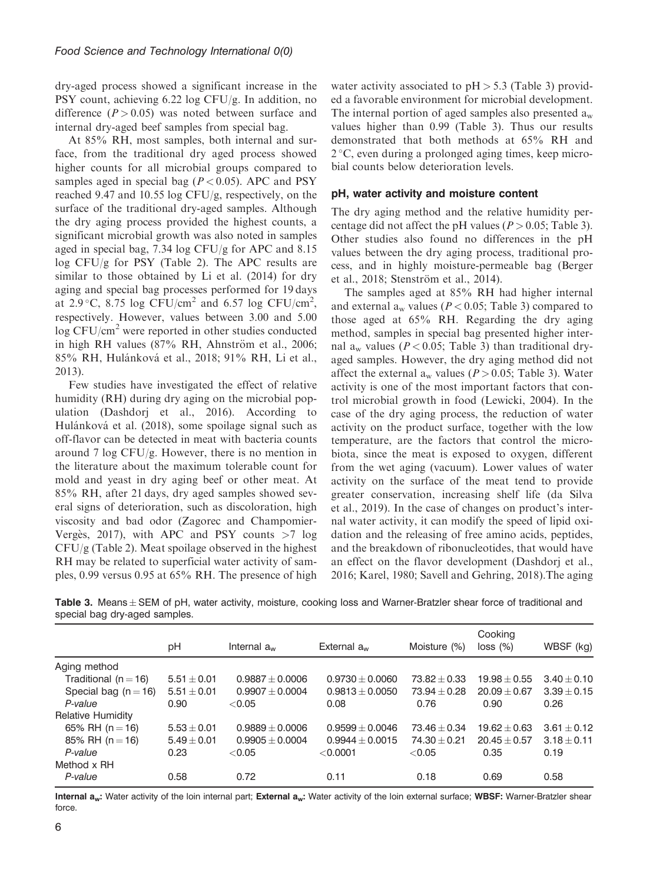dry-aged process showed a significant increase in the PSY count, achieving 6.22 log CFU/g. In addition, no difference  $(P > 0.05)$  was noted between surface and internal dry-aged beef samples from special bag.

At 85% RH, most samples, both internal and surface, from the traditional dry aged process showed higher counts for all microbial groups compared to samples aged in special bag ( $P < 0.05$ ). APC and PSY reached 9.47 and 10.55 log CFU/g, respectively, on the surface of the traditional dry-aged samples. Although the dry aging process provided the highest counts, a significant microbial growth was also noted in samples aged in special bag, 7.34 log CFU/g for APC and 8.15 log CFU/g for PSY (Table 2). The APC results are similar to those obtained by Li et al. (2014) for dry aging and special bag processes performed for 19 days at 2.9 °C, 8.75 log CFU/cm<sup>2</sup> and 6.57 log CFU/cm<sup>2</sup>, respectively. However, values between 3.00 and 5.00  $\log$  CFU/cm<sup>2</sup> were reported in other studies conducted in high RH values (87% RH, Ahnström et al., 2006; 85% RH, Hulánková et al., 2018; 91% RH, Li et al., 2013).

Few studies have investigated the effect of relative humidity (RH) during dry aging on the microbial population (Dashdorj et al., 2016). According to Hulánková et al. (2018), some spoilage signal such as off-flavor can be detected in meat with bacteria counts around 7 log CFU/g. However, there is no mention in the literature about the maximum tolerable count for mold and yeast in dry aging beef or other meat. At 85% RH, after 21 days, dry aged samples showed several signs of deterioration, such as discoloration, high viscosity and bad odor (Zagorec and Champomier-Vergès, 2017), with APC and PSY counts  $>7$  log  $CFU/g$  (Table 2). Meat spoilage observed in the highest RH may be related to superficial water activity of samples, 0.99 versus 0.95 at 65% RH. The presence of high water activity associated to  $pH > 5.3$  (Table 3) provided a favorable environment for microbial development. The internal portion of aged samples also presented  $a_w$ values higher than 0.99 (Table 3). Thus our results demonstrated that both methods at 65% RH and  $2^{\circ}$ C, even during a prolonged aging times, keep microbial counts below deterioration levels.

## pH, water activity and moisture content

The dry aging method and the relative humidity percentage did not affect the pH values ( $P > 0.05$ ; Table 3). Other studies also found no differences in the pH values between the dry aging process, traditional process, and in highly moisture-permeable bag (Berger et al., 2018: Stenström et al., 2014).

The samples aged at 85% RH had higher internal and external  $a_w$  values ( $P < 0.05$ ; Table 3) compared to those aged at 65% RH. Regarding the dry aging method, samples in special bag presented higher internal a<sub>w</sub> values ( $P < 0.05$ ; Table 3) than traditional dryaged samples. However, the dry aging method did not affect the external a<sub>w</sub> values ( $P > 0.05$ ; Table 3). Water activity is one of the most important factors that control microbial growth in food (Lewicki, 2004). In the case of the dry aging process, the reduction of water activity on the product surface, together with the low temperature, are the factors that control the microbiota, since the meat is exposed to oxygen, different from the wet aging (vacuum). Lower values of water activity on the surface of the meat tend to provide greater conservation, increasing shelf life (da Silva et al., 2019). In the case of changes on product's internal water activity, it can modify the speed of lipid oxidation and the releasing of free amino acids, peptides, and the breakdown of ribonucleotides, that would have an effect on the flavor development (Dashdorj et al., 2016; Karel, 1980; Savell and Gehring, 2018).The aging

Table 3. Means  $\pm$  SEM of pH, water activity, moisture, cooking loss and Warner-Bratzler shear force of traditional and special bag dry-aged samples.

|                          | pH              | Internal $a_w$      | External $a_{w}$    | Moisture (%)     | Cooking<br>$loss (\%)$ | WBSF (kg)       |  |
|--------------------------|-----------------|---------------------|---------------------|------------------|------------------------|-----------------|--|
| Aging method             |                 |                     |                     |                  |                        |                 |  |
| Traditional ( $n = 16$ ) | $5.51 \pm 0.01$ | $0.9887 \pm 0.0006$ | $0.9730 \pm 0.0060$ | $73.82 + 0.33$   | $19.98 + 0.55$         | $3.40 \pm 0.10$ |  |
| Special bag ( $n = 16$ ) | $5.51 \pm 0.01$ | $0.9907 + 0.0004$   | $0.9813 + 0.0050$   | $73.94 \pm 0.28$ | $20.09 + 0.67$         | $3.39 + 0.15$   |  |
| P-value                  | 0.90            | < 0.05              | 0.08                | 0.76             | 0.90                   | 0.26            |  |
| Relative Humidity        |                 |                     |                     |                  |                        |                 |  |
| 65% RH ( $n = 16$ )      | $5.53 \pm 0.01$ | $0.9889 + 0.0006$   | $0.9599 + 0.0046$   | $73.46 + 0.34$   | $19.62 + 0.63$         | $3.61 + 0.12$   |  |
| 85% RH $(n = 16)$        | $5.49 \pm 0.01$ | $0.9905 \pm 0.0004$ | $0.9944 + 0.0015$   | $74.30 + 0.21$   | $20.45 + 0.57$         | $3.18 + 0.11$   |  |
| P-value                  | 0.23            | < 0.05              | < 0.0001            | < 0.05           | 0.35                   | 0.19            |  |
| Method x RH              |                 |                     |                     |                  |                        |                 |  |
| P-value                  | 0.58            | 0.72                | 0.11                | 0.18             | 0.69                   | 0.58            |  |

Internal a<sub>w</sub>: Water activity of the loin internal part; External a<sub>w</sub>: Water activity of the loin external surface; WBSF: Warner-Bratzler shear force.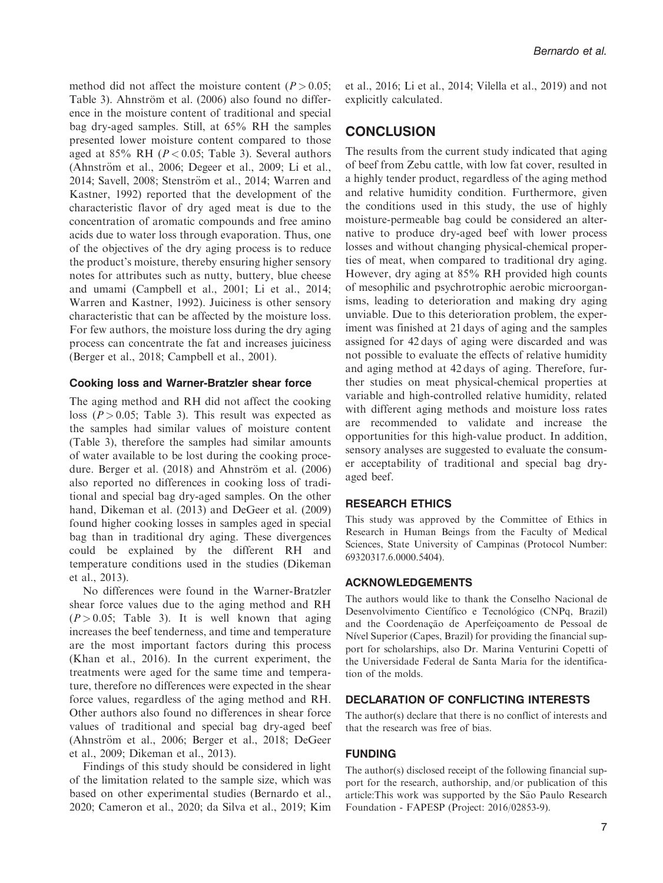method did not affect the moisture content ( $P > 0.05$ ; Table 3). Ahnström et al. (2006) also found no difference in the moisture content of traditional and special bag dry-aged samples. Still, at 65% RH the samples presented lower moisture content compared to those aged at 85% RH ( $P < 0.05$ ; Table 3). Several authors (Ahnström et al., 2006; Degeer et al., 2009; Li et al., 2014; Savell, 2008; Stenström et al., 2014; Warren and Kastner, 1992) reported that the development of the characteristic flavor of dry aged meat is due to the concentration of aromatic compounds and free amino acids due to water loss through evaporation. Thus, one of the objectives of the dry aging process is to reduce the product's moisture, thereby ensuring higher sensory notes for attributes such as nutty, buttery, blue cheese and umami (Campbell et al., 2001; Li et al., 2014; Warren and Kastner, 1992). Juiciness is other sensory characteristic that can be affected by the moisture loss. For few authors, the moisture loss during the dry aging process can concentrate the fat and increases juiciness (Berger et al., 2018; Campbell et al., 2001).

#### Cooking loss and Warner-Bratzler shear force

The aging method and RH did not affect the cooking loss ( $P > 0.05$ ; Table 3). This result was expected as the samples had similar values of moisture content (Table 3), therefore the samples had similar amounts of water available to be lost during the cooking procedure. Berger et al.  $(2018)$  and Ahnström et al.  $(2006)$ also reported no differences in cooking loss of traditional and special bag dry-aged samples. On the other hand, Dikeman et al. (2013) and DeGeer et al. (2009) found higher cooking losses in samples aged in special bag than in traditional dry aging. These divergences could be explained by the different RH and temperature conditions used in the studies (Dikeman et al., 2013).

No differences were found in the Warner-Bratzler shear force values due to the aging method and RH  $(P > 0.05;$  Table 3). It is well known that aging increases the beef tenderness, and time and temperature are the most important factors during this process (Khan et al., 2016). In the current experiment, the treatments were aged for the same time and temperature, therefore no differences were expected in the shear force values, regardless of the aging method and RH. Other authors also found no differences in shear force values of traditional and special bag dry-aged beef (Ahnström et al., 2006; Berger et al., 2018; DeGeer et al., 2009; Dikeman et al., 2013).

Findings of this study should be considered in light of the limitation related to the sample size, which was based on other experimental studies (Bernardo et al., 2020; Cameron et al., 2020; da Silva et al., 2019; Kim et al., 2016; Li et al., 2014; Vilella et al., 2019) and not explicitly calculated.

# **CONCLUSION**

The results from the current study indicated that aging of beef from Zebu cattle, with low fat cover, resulted in a highly tender product, regardless of the aging method and relative humidity condition. Furthermore, given the conditions used in this study, the use of highly moisture-permeable bag could be considered an alternative to produce dry-aged beef with lower process losses and without changing physical-chemical properties of meat, when compared to traditional dry aging. However, dry aging at 85% RH provided high counts of mesophilic and psychrotrophic aerobic microorganisms, leading to deterioration and making dry aging unviable. Due to this deterioration problem, the experiment was finished at 21 days of aging and the samples assigned for 42 days of aging were discarded and was not possible to evaluate the effects of relative humidity and aging method at 42 days of aging. Therefore, further studies on meat physical-chemical properties at variable and high-controlled relative humidity, related with different aging methods and moisture loss rates are recommended to validate and increase the opportunities for this high-value product. In addition, sensory analyses are suggested to evaluate the consumer acceptability of traditional and special bag dryaged beef.

#### RESEARCH ETHICS

This study was approved by the Committee of Ethics in Research in Human Beings from the Faculty of Medical Sciences, State University of Campinas (Protocol Number: 69320317.6.0000.5404).

## ACKNOWLEDGEMENTS

The authors would like to thank the Conselho Nacional de Desenvolvimento Científico e Tecnológico (CNPq, Brazil) and the Coordenação de Aperfeiçoamento de Pessoal de Nivel Superior (Capes, Brazil) for providing the financial support for scholarships, also Dr. Marina Venturini Copetti of the Universidade Federal de Santa Maria for the identification of the molds.

#### DECLARATION OF CONFLICTING INTERESTS

The author(s) declare that there is no conflict of interests and that the research was free of bias.

#### FUNDING

The author(s) disclosed receipt of the following financial support for the research, authorship, and/or publication of this article:This work was supported by the São Paulo Research Foundation - FAPESP (Project: 2016/02853-9).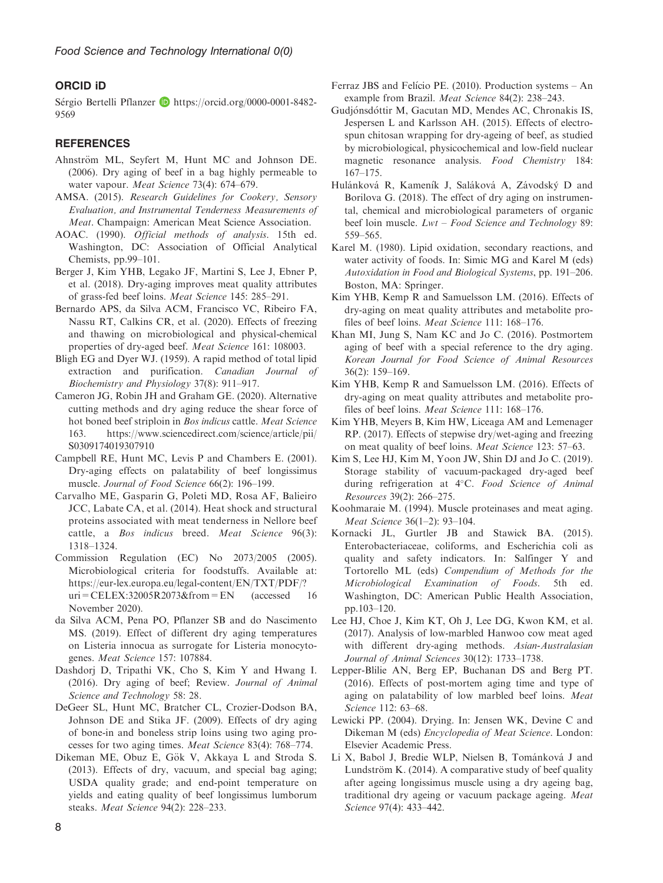# ORCID iD

Sérgio Bertelli Pflanzer **[https://orcid.org/0000-0001-8482-](https://orcid.org/0000-0001-8482-9569)** [9569](https://orcid.org/0000-0001-8482-9569)

### **REFERENCES**

- Ahnström ML, Seyfert M, Hunt MC and Johnson DE. (2006). Dry aging of beef in a bag highly permeable to water vapour. Meat Science 73(4): 674–679.
- AMSA. (2015). Research Guidelines for Cookery, Sensory Evaluation, and Instrumental Tenderness Measurements of Meat. Champaign: American Meat Science Association.
- AOAC. (1990). Official methods of analysis. 15th ed. Washington, DC: Association of Official Analytical Chemists, pp.99–101.
- Berger J, Kim YHB, Legako JF, Martini S, Lee J, Ebner P, et al. (2018). Dry-aging improves meat quality attributes of grass-fed beef loins. Meat Science 145: 285–291.
- Bernardo APS, da Silva ACM, Francisco VC, Ribeiro FA, Nassu RT, Calkins CR, et al. (2020). Effects of freezing and thawing on microbiological and physical-chemical properties of dry-aged beef. Meat Science 161: 108003.
- Bligh EG and Dyer WJ. (1959). A rapid method of total lipid extraction and purification. Canadian Journal of Biochemistry and Physiology 37(8): 911–917.
- Cameron JG, Robin JH and Graham GE. (2020). Alternative cutting methods and dry aging reduce the shear force of hot boned beef striploin in Bos indicus cattle. Meat Science 163. https://www.sciencedirect.com/science/article/pii/ S0309174019307910
- Campbell RE, Hunt MC, Levis P and Chambers E. (2001). Dry-aging effects on palatability of beef longissimus muscle. Journal of Food Science 66(2): 196–199.
- Carvalho ME, Gasparin G, Poleti MD, Rosa AF, Balieiro JCC, Labate CA, et al. (2014). Heat shock and structural proteins associated with meat tenderness in Nellore beef cattle, a Bos indicus breed. Meat Science 96(3): 1318–1324.
- Commission Regulation (EC) No 2073/2005 (2005). Microbiological criteria for foodstuffs. Available at: [https://eur-lex.europa.eu/legal-content/EN/TXT/PDF/?](https://eur-lex.europa.eu/legal-content/EN/TXT/PDF/?uri=CELEX:32005R2073&from=EN) [uri=CELEX:32005R2073&from=EN](https://eur-lex.europa.eu/legal-content/EN/TXT/PDF/?uri=CELEX:32005R2073&from=EN) (accessed 16 November 2020).
- da Silva ACM, Pena PO, Pflanzer SB and do Nascimento MS. (2019). Effect of different dry aging temperatures on Listeria innocua as surrogate for Listeria monocytogenes. Meat Science 157: 107884.
- Dashdorj D, Tripathi VK, Cho S, Kim Y and Hwang I. (2016). Dry aging of beef; Review. Journal of Animal Science and Technology 58: 28.
- DeGeer SL, Hunt MC, Bratcher CL, Crozier-Dodson BA, Johnson DE and Stika JF. (2009). Effects of dry aging of bone-in and boneless strip loins using two aging processes for two aging times. Meat Science 83(4): 768–774.
- Dikeman ME, Obuz E, Gök V, Akkaya L and Stroda S. (2013). Effects of dry, vacuum, and special bag aging; USDA quality grade; and end-point temperature on yields and eating quality of beef longissimus lumborum steaks. Meat Science 94(2): 228–233.
- Ferraz JBS and Felício PE.  $(2010)$ . Production systems An example from Brazil. Meat Science 84(2): 238–243.
- Gudjónsdóttir M, Gacutan MD, Mendes AC, Chronakis IS, Jespersen L and Karlsson AH. (2015). Effects of electrospun chitosan wrapping for dry-ageing of beef, as studied by microbiological, physicochemical and low-field nuclear magnetic resonance analysis. Food Chemistry 184: 167–175.
- Hulánková R, Kameník J, Saláková A, Závodský D and Borilova G. (2018). The effect of dry aging on instrumental, chemical and microbiological parameters of organic beef loin muscle.  $Lwt - Food Science$  and  $Technology$  89: 559–565.
- Karel M. (1980). Lipid oxidation, secondary reactions, and water activity of foods. In: Simic MG and Karel M (eds) Autoxidation in Food and Biological Systems, pp. 191–206. Boston, MA: Springer.
- Kim YHB, Kemp R and Samuelsson LM. (2016). Effects of dry-aging on meat quality attributes and metabolite profiles of beef loins. Meat Science 111: 168-176.
- Khan MI, Jung S, Nam KC and Jo C. (2016). Postmortem aging of beef with a special reference to the dry aging. Korean Journal for Food Science of Animal Resources 36(2): 159–169.
- Kim YHB, Kemp R and Samuelsson LM. (2016). Effects of dry-aging on meat quality attributes and metabolite profiles of beef loins. Meat Science 111: 168–176.
- Kim YHB, Meyers B, Kim HW, Liceaga AM and Lemenager RP. (2017). Effects of stepwise dry/wet-aging and freezing on meat quality of beef loins. Meat Science 123: 57–63.
- Kim S, Lee HJ, Kim M, Yoon JW, Shin DJ and Jo C. (2019). Storage stability of vacuum-packaged dry-aged beef during refrigeration at 4°C. Food Science of Animal Resources 39(2): 266–275.
- Koohmaraie M. (1994). Muscle proteinases and meat aging. Meat Science 36(1–2): 93–104.
- Kornacki JL, Gurtler JB and Stawick BA. (2015). Enterobacteriaceae, coliforms, and Escherichia coli as quality and safety indicators. In: Salfinger Y and Tortorello ML (eds) Compendium of Methods for the Microbiological Examination of Foods. 5th ed. Washington, DC: American Public Health Association, pp.103–120.
- Lee HJ, Choe J, Kim KT, Oh J, Lee DG, Kwon KM, et al. (2017). Analysis of low-marbled Hanwoo cow meat aged with different dry-aging methods. Asian-Australasian Journal of Animal Sciences 30(12): 1733–1738.
- Lepper-Blilie AN, Berg EP, Buchanan DS and Berg PT. (2016). Effects of post-mortem aging time and type of aging on palatability of low marbled beef loins. Meat Science 112: 63–68.
- Lewicki PP. (2004). Drying. In: Jensen WK, Devine C and Dikeman M (eds) Encyclopedia of Meat Science. London: Elsevier Academic Press.
- Li X, Babol J, Bredie WLP, Nielsen B, Tománková J and Lundström K. (2014). A comparative study of beef quality after ageing longissimus muscle using a dry ageing bag, traditional dry ageing or vacuum package ageing. Meat Science 97(4): 433–442.